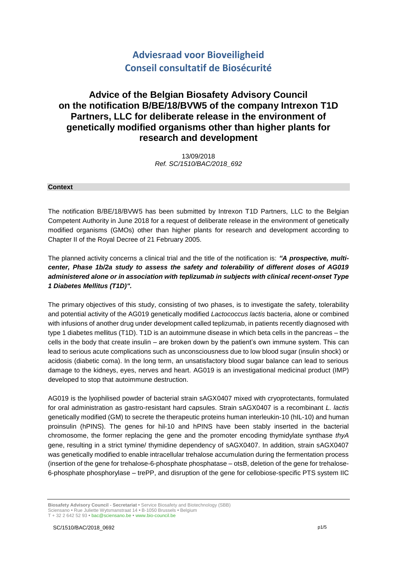# **Adviesraad voor Bioveiligheid Conseil consultatif de Biosécurité**

# **Advice of the Belgian Biosafety Advisory Council on the notification B/BE/18/BVW5 of the company Intrexon T1D Partners, LLC for deliberate release in the environment of genetically modified organisms other than higher plants for research and development**

13/09/2018 *Ref. SC/1510/BAC/2018\_692*

#### **Context**

The notification B/BE/18/BVW5 has been submitted by Intrexon T1D Partners, LLC to the Belgian Competent Authority in June 2018 for a request of deliberate release in the environment of genetically modified organisms (GMOs) other than higher plants for research and development according to Chapter II of the Royal Decree of 21 February 2005.

The planned activity concerns a clinical trial and the title of the notification is: *"A prospective, multicenter, Phase 1b/2a study to assess the safety and tolerability of different doses of AG019 administered alone or in association with teplizumab in subjects with clinical recent-onset Type 1 Diabetes Mellitus (T1D)".*

The primary objectives of this study, consisting of two phases, is to investigate the safety, tolerability and potential activity of the AG019 genetically modified *Lactococcus lactis* bacteria, alone or combined with infusions of another drug under development called teplizumab, in patients recently diagnosed with type 1 diabetes mellitus (T1D). T1D is an autoimmune disease in which beta cells in the pancreas – the cells in the body that create insulin – are broken down by the patient's own immune system. This can lead to serious acute complications such as unconsciousness due to low blood sugar (insulin shock) or acidosis (diabetic coma). In the long term, an unsatisfactory blood sugar balance can lead to serious damage to the kidneys, eyes, nerves and heart. AG019 is an investigational medicinal product (IMP) developed to stop that autoimmune destruction.

AG019 is the lyophilised powder of bacterial strain sAGX0407 mixed with cryoprotectants, formulated for oral administration as gastro-resistant hard capsules. Strain sAGX0407 is a recombinant *L. lactis* genetically modified (GM) to secrete the therapeutic proteins human interleukin-10 (hIL-10) and human proinsulin (hPINS). The genes for hil-10 and hPINS have been stably inserted in the bacterial chromosome, the former replacing the gene and the promoter encoding thymidylate synthase *thyA* gene, resulting in a strict tymine/ thymidine dependency of sAGX0407. In addition, strain sAGX0407 was genetically modified to enable intracellular trehalose accumulation during the fermentation process (insertion of the gene for trehalose-6-phosphate phosphatase – otsB, deletion of the gene for trehalose-6-phosphate phosphorylase – trePP, and disruption of the gene for cellobiose-specific PTS system IIC

**Biosafety Advisory Council - Secretariat •** Service Biosafety and Biotechnology (SBB) Sciensano **•** Rue Juliette Wytsmanstraat 14 **•** B-1050 Brussels **•** Belgium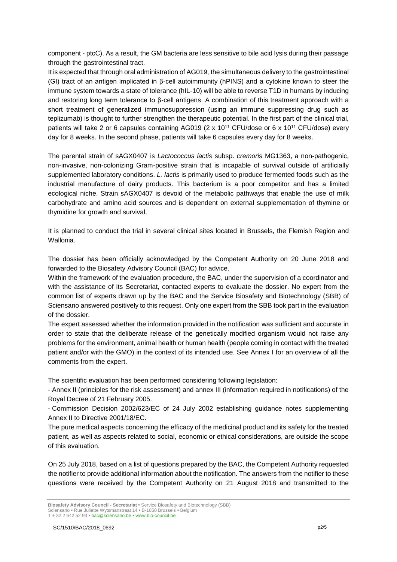component - ptcC). As a result, the GM bacteria are less sensitive to bile acid lysis during their passage through the gastrointestinal tract.

It is expected that through oral administration of AG019, the simultaneous delivery to the gastrointestinal (GI) tract of an antigen implicated in β-cell autoimmunity (hPINS) and a cytokine known to steer the immune system towards a state of tolerance (hIL-10) will be able to reverse T1D in humans by inducing and restoring long term tolerance to β-cell antigens. A combination of this treatment approach with a short treatment of generalized immunosuppression (using an immune suppressing drug such as teplizumab) is thought to further strengthen the therapeutic potential. In the first part of the clinical trial, patients will take 2 or 6 capsules containing AG019 (2 x 10<sup>11</sup> CFU/dose or 6 x 10<sup>11</sup> CFU/dose) every day for 8 weeks. In the second phase, patients will take 6 capsules every day for 8 weeks.

The parental strain of sAGX0407 is *Lactococcus lactis* subsp. *cremoris* MG1363, a non-pathogenic, non-invasive, non-colonizing Gram-positive strain that is incapable of survival outside of artificially supplemented laboratory conditions. *L. lactis* is primarily used to produce fermented foods such as the industrial manufacture of dairy products. This bacterium is a poor competitor and has a limited ecological niche. Strain sAGX0407 is devoid of the metabolic pathways that enable the use of milk carbohydrate and amino acid sources and is dependent on external supplementation of thymine or thymidine for growth and survival.

It is planned to conduct the trial in several clinical sites located in Brussels, the Flemish Region and Wallonia.

The dossier has been officially acknowledged by the Competent Authority on 20 June 2018 and forwarded to the Biosafety Advisory Council (BAC) for advice.

Within the framework of the evaluation procedure, the BAC, under the supervision of a coordinator and with the assistance of its Secretariat, contacted experts to evaluate the dossier. No expert from the common list of experts drawn up by the BAC and the Service Biosafety and Biotechnology (SBB) of Sciensano answered positively to this request. Only one expert from the SBB took part in the evaluation of the dossier.

The expert assessed whether the information provided in the notification was sufficient and accurate in order to state that the deliberate release of the genetically modified organism would not raise any problems for the environment, animal health or human health (people coming in contact with the treated patient and/or with the GMO) in the context of its intended use. See Annex I for an overview of all the comments from the expert.

The scientific evaluation has been performed considering following legislation:

- Annex II (principles for the risk assessment) and annex III (information required in notifications) of the Royal Decree of 21 February 2005.

- Commission Decision 2002/623/EC of 24 July 2002 establishing guidance notes supplementing Annex II to Directive 2001/18/EC.

The pure medical aspects concerning the efficacy of the medicinal product and its safety for the treated patient, as well as aspects related to social, economic or ethical considerations, are outside the scope of this evaluation.

On 25 July 2018, based on a list of questions prepared by the BAC, the Competent Authority requested the notifier to provide additional information about the notification. The answers from the notifier to these questions were received by the Competent Authority on 21 August 2018 and transmitted to the

T + 32 2 642 52 93 **•** bac@sciensano.be **•** www.bio-council.be

**Biosafety Advisory Council - Secretariat •** Service Biosafety and Biotechnology (SBB) Sciensano **•** Rue Juliette Wytsmanstraat 14 **•** B-1050 Brussels **•** Belgium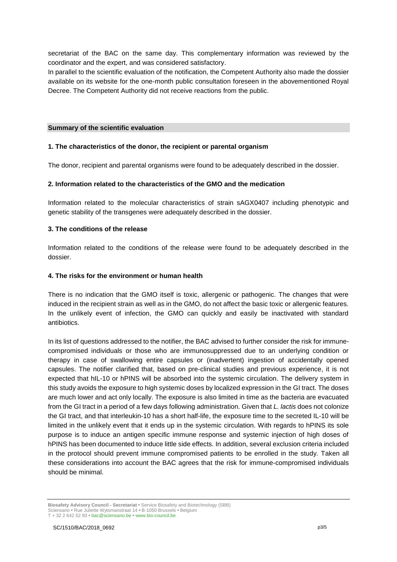secretariat of the BAC on the same day. This complementary information was reviewed by the coordinator and the expert, and was considered satisfactory.

In parallel to the scientific evaluation of the notification, the Competent Authority also made the dossier available on its website for the one-month public consultation foreseen in the abovementioned Royal Decree. The Competent Authority did not receive reactions from the public.

#### **Summary of the scientific evaluation**

#### **1. The characteristics of the donor, the recipient or parental organism**

The donor, recipient and parental organisms were found to be adequately described in the dossier.

#### **2. Information related to the characteristics of the GMO and the medication**

Information related to the molecular characteristics of strain sAGX0407 including phenotypic and genetic stability of the transgenes were adequately described in the dossier.

#### **3. The conditions of the release**

Information related to the conditions of the release were found to be adequately described in the dossier.

#### **4. The risks for the environment or human health**

There is no indication that the GMO itself is toxic, allergenic or pathogenic. The changes that were induced in the recipient strain as well as in the GMO, do not affect the basic toxic or allergenic features. In the unlikely event of infection, the GMO can quickly and easily be inactivated with standard antibiotics.

In its list of questions addressed to the notifier, the BAC advised to further consider the risk for immunecompromised individuals or those who are immunosuppressed due to an underlying condition or therapy in case of swallowing entire capsules or (inadvertent) ingestion of accidentally opened capsules. The notifier clarified that, based on pre-clinical studies and previous experience, it is not expected that hIL-10 or hPINS will be absorbed into the systemic circulation. The delivery system in this study avoids the exposure to high systemic doses by localized expression in the GI tract. The doses are much lower and act only locally. The exposure is also limited in time as the bacteria are evacuated from the GI tract in a period of a few days following administration. Given that *L. lactis* does not colonize the GI tract, and that interleukin-10 has a short half-life, the exposure time to the secreted IL-10 will be limited in the unlikely event that it ends up in the systemic circulation. With regards to hPINS its sole purpose is to induce an antigen specific immune response and systemic injection of high doses of hPINS has been documented to induce little side effects. In addition, several exclusion criteria included in the protocol should prevent immune compromised patients to be enrolled in the study. Taken all these considerations into account the BAC agrees that the risk for immune-compromised individuals should be minimal.

**Biosafety Advisory Council - Secretariat •** Service Biosafety and Biotechnology (SBB) Sciensano **•** Rue Juliette Wytsmanstraat 14 **•** B-1050 Brussels **•** Belgium T + 32 2 642 52 93 **•** bac@sciensano.be **•** www.bio-council.be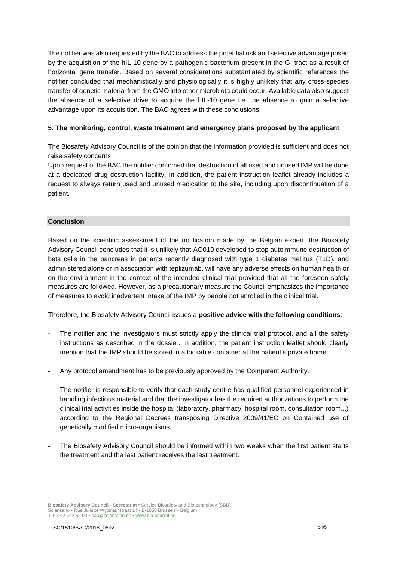The notifier was also requested by the BAC to address the potential risk and selective advantage posed by the acquisition of the hIL-10 gene by a pathogenic bacterium present in the GI tract as a result of horizontal gene transfer. Based on several considerations substantiated by scientific references the notifier concluded that mechanistically and physiologically it is highly unlikely that any cross-species transfer of genetic material from the GMO into other microbiota could occur. Available data also suggest the absence of a selective drive to acquire the hIL-10 gene i.e. the absence to gain a selective advantage upon its acquisition. The BAC agrees with these conclusions.

# **5. The monitoring, control, waste treatment and emergency plans proposed by the applicant**

The Biosafety Advisory Council is of the opinion that the information provided is sufficient and does not raise safety concerns.

Upon request of the BAC the notifier confirmed that destruction of all used and unused IMP will be done at a dedicated drug destruction facility. In addition, the patient instruction leaflet already includes a request to always return used and unused medication to the site, including upon discontinuation of a patient.

# **Conclusion**

Based on the scientific assessment of the notification made by the Belgian expert, the Biosafety Advisory Council concludes that it is unlikely that AG019 developed to stop autoimmune destruction of beta cells in the pancreas in patients recently diagnosed with type 1 diabetes mellitus (T1D), and administered alone or in association with teplizumab, will have any adverse effects on human health or on the environment in the context of the intended clinical trial provided that all the foreseen safety measures are followed. However, as a precautionary measure the Council emphasizes the importance of measures to avoid inadvertent intake of the IMP by people not enrolled in the clinical trial.

Therefore, the Biosafety Advisory Council issues a **positive advice with the following conditions**:

- The notifier and the investigators must strictly apply the clinical trial protocol, and all the safety instructions as described in the dossier. In addition, the patient instruction leaflet should clearly mention that the IMP should be stored in a lockable container at the patient's private home.
- Any protocol amendment has to be previously approved by the Competent Authority.
- The notifier is responsible to verify that each study centre has qualified personnel experienced in handling infectious material and that the investigator has the required authorizations to perform the clinical trial activities inside the hospital (laboratory, pharmacy, hospital room, consultation room...) according to the Regional Decrees transposing Directive 2009/41/EC on Contained use of genetically modified micro-organisms.
- The Biosafety Advisory Council should be informed within two weeks when the first patient starts the treatment and the last patient receives the last treatment.

**Biosafety Advisory Council - Secretariat •** Service Biosafety and Biotechnology (SBB) Sciensano **•** Rue Juliette Wytsmanstraat 14 **•** B-1050 Brussels **•** Belgium T + 32 2 642 52 93 **•** bac@sciensano.be **•** www.bio-council.be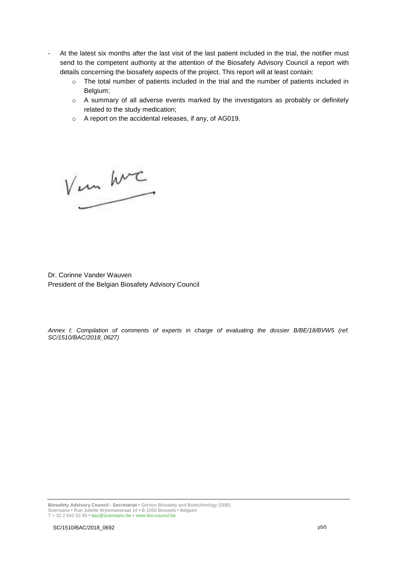- At the latest six months after the last visit of the last patient included in the trial, the notifier must send to the competent authority at the attention of the Biosafety Advisory Council a report with details concerning the biosafety aspects of the project. This report will at least contain:
	- $\circ$  The total number of patients included in the trial and the number of patients included in Belgium;
	- o A summary of all adverse events marked by the investigators as probably or definitely related to the study medication;
	- o A report on the accidental releases, if any, of AG019.

V un hvc

Dr. Corinne Vander Wauven President of the Belgian Biosafety Advisory Council

*Annex I: Compilation of comments of experts in charge of evaluating the dossier B/BE/18/BVW5 (ref. SC/1510/BAC/2018\_0627)*

**Biosafety Advisory Council - Secretariat •** Service Biosafety and Biotechnology (SBB) Sciensano **•** Rue Juliette Wytsmanstraat 14 **•** B-1050 Brussels **•** Belgium T + 32 2 642 52 93 **•** bac@sciensano.be **•** www.bio-council.be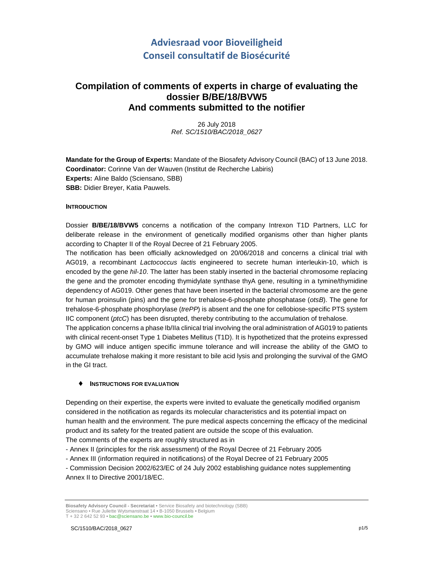# **Adviesraad voor Bioveiligheid Conseil consultatif de Biosécurité**

# **Compilation of comments of experts in charge of evaluating the dossier B/BE/18/BVW5 And comments submitted to the notifier**

26 July 2018 Ref. SC/1510/BAC/2018\_0627

**Mandate for the Group of Experts:** Mandate of the Biosafety Advisory Council (BAC) of 13 June 2018. **Coordinator:** Corinne Van der Wauven (Institut de Recherche Labiris) **Experts:** Aline Baldo (Sciensano, SBB) **SBB:** Didier Breyer, Katia Pauwels.

#### **INTRODUCTION**

Dossier **B/BE/18/BVW5** concerns a notification of the company Intrexon T1D Partners, LLC for deliberate release in the environment of genetically modified organisms other than higher plants according to Chapter II of the Royal Decree of 21 February 2005.

The notification has been officially acknowledged on 20/06/2018 and concerns a clinical trial with AG019, a recombinant Lactococcus lactis engineered to secrete human interleukin-10, which is encoded by the gene hil-10. The latter has been stably inserted in the bacterial chromosome replacing the gene and the promoter encoding thymidylate synthase thyA gene, resulting in a tymine/thymidine dependency of AG019. Other genes that have been inserted in the bacterial chromosome are the gene for human proinsulin (pins) and the gene for trehalose-6-phosphate phosphatase (otsB). The gene for trehalose-6-phosphate phosphorylase (trePP) is absent and the one for cellobiose-specific PTS system IIC component (ptcC) has been disrupted, thereby contributing to the accumulation of trehalose.

The application concerns a phase Ib/IIa clinical trial involving the oral administration of AG019 to patients with clinical recent-onset Type 1 Diabetes Mellitus (T1D). It is hypothetized that the proteins expressed by GMO will induce antigen specific immune tolerance and will increase the ability of the GMO to accumulate trehalose making it more resistant to bile acid lysis and prolonging the survival of the GMO in the GI tract.

#### ♦ **INSTRUCTIONS FOR EVALUATION**

Depending on their expertise, the experts were invited to evaluate the genetically modified organism considered in the notification as regards its molecular characteristics and its potential impact on human health and the environment. The pure medical aspects concerning the efficacy of the medicinal product and its safety for the treated patient are outside the scope of this evaluation. The comments of the experts are roughly structured as in

- Annex II (principles for the risk assessment) of the Royal Decree of 21 February 2005
- Annex III (information required in notifications) of the Royal Decree of 21 February 2005

- Commission Decision 2002/623/EC of 24 July 2002 establishing guidance notes supplementing Annex II to Directive 2001/18/EC.

**Biosafety Advisory Council - Secretariat •** Service Biosafety and biotechnology (SBB) Sciensano • Rue Juliette Wytsmanstraat 14 **•** B-1050 Brussels **•** Belgium T + 32 2 642 52 93 **•** bac@sciensano.be **•** www.bio-council.be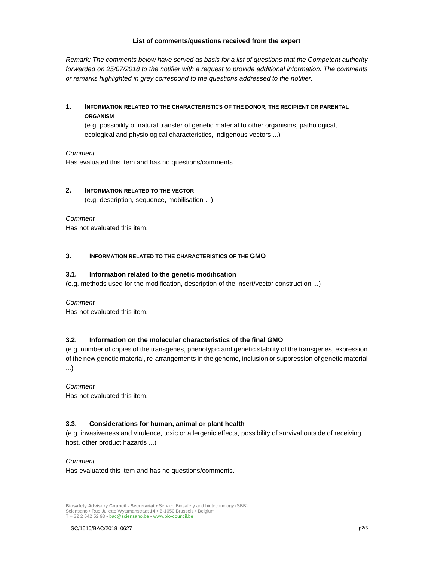#### **List of comments/questions received from the expert**

Remark: The comments below have served as basis for a list of questions that the Competent authority forwarded on 25/07/2018 to the notifier with a request to provide additional information. The comments or remarks highlighted in grey correspond to the questions addressed to the notifier.

# **1. INFORMATION RELATED TO THE CHARACTERISTICS OF THE DONOR, THE RECIPIENT OR PARENTAL ORGANISM**

(e.g. possibility of natural transfer of genetic material to other organisms, pathological, ecological and physiological characteristics, indigenous vectors ...)

#### Comment

Has evaluated this item and has no questions/comments.

#### **2. INFORMATION RELATED TO THE VECTOR**

(e.g. description, sequence, mobilisation ...)

#### Comment

Has not evaluated this item.

#### **3. INFORMATION RELATED TO THE CHARACTERISTICS OF THE GMO**

#### **3.1. Information related to the genetic modification**

(e.g. methods used for the modification, description of the insert/vector construction ...)

#### Comment

Has not evaluated this item.

#### **3.2. Information on the molecular characteristics of the final GMO**

(e.g. number of copies of the transgenes, phenotypic and genetic stability of the transgenes, expression of the new genetic material, re-arrangements in the genome, inclusion or suppression of genetic material ...)

#### Comment

Has not evaluated this item.

#### **3.3. Considerations for human, animal or plant health**

(e.g. invasiveness and virulence, toxic or allergenic effects, possibility of survival outside of receiving host, other product hazards ...)

#### Comment

Has evaluated this item and has no questions/comments.

**Biosafety Advisory Council - Secretariat •** Service Biosafety and biotechnology (SBB) Sciensano • Rue Juliette Wytsmanstraat 14 **•** B-1050 Brussels **•** Belgium T + 32 2 642 52 93 **•** bac@sciensano.be **•** www.bio-council.be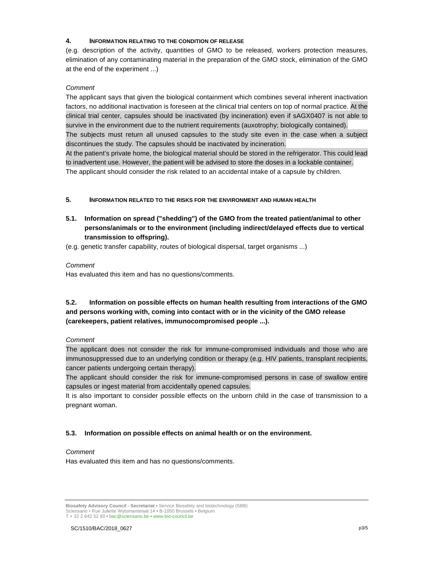#### **4. INFORMATION RELATING TO THE CONDITION OF RELEASE**

(e.g. description of the activity, quantities of GMO to be released, workers protection measures, elimination of any contaminating material in the preparation of the GMO stock, elimination of the GMO at the end of the experiment ...)

#### Comment

The applicant says that given the biological containment which combines several inherent inactivation factors, no additional inactivation is foreseen at the clinical trial centers on top of normal practice. At the clinical trial center, capsules should be inactivated (by incineration) even if sAGX0407 is not able to survive in the environment due to the nutrient requirements (auxotrophy; biologically contained). The subjects must return all unused capsules to the study site even in the case when a subject discontinues the study. The capsules should be inactivated by incineration. At the patient's private home, the biological material should be stored in the refrigerator. This could lead to inadvertent use. However, the patient will be advised to store the doses in a lockable container. The applicant should consider the risk related to an accidental intake of a capsule by children.

- **5. INFORMATION RELATED TO THE RISKS FOR THE ENVIRONMENT AND HUMAN HEALTH**
- **5.1. Information on spread ("shedding") of the GMO from the treated patient/animal to other persons/animals or to the environment (including indirect/delayed effects due to vertical transmission to offspring).**
- (e.g. genetic transfer capability, routes of biological dispersal, target organisms ...)

#### **Comment**

Has evaluated this item and has no questions/comments.

# **5.2. Information on possible effects on human health resulting from interactions of the GMO and persons working with, coming into contact with or in the vicinity of the GMO release (carekeepers, patient relatives, immunocompromised people ...).**

#### **Comment**

The applicant does not consider the risk for immune-compromised individuals and those who are immunosuppressed due to an underlying condition or therapy (e.g. HIV patients, transplant recipients, cancer patients undergoing certain therapy).

The applicant should consider the risk for immune-compromised persons in case of swallow entire capsules or ingest material from accidentally opened capsules.

It is also important to consider possible effects on the unborn child in the case of transmission to a pregnant woman.

#### **5.3. Information on possible effects on animal health or on the environment.**

#### Comment

Has evaluated this item and has no questions/comments.

**Biosafety Advisory Council - Secretariat •** Service Biosafety and biotechnology (SBB) Sciensano • Rue Juliette Wytsmanstraat 14 **•** B-1050 Brussels **•** Belgium

T + 32 2 642 52 93 **•** bac@sciensano.be **•** www.bio-council.be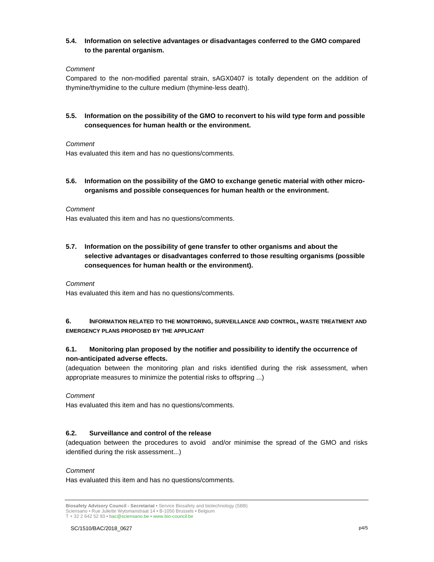#### **5.4. Information on selective advantages or disadvantages conferred to the GMO compared to the parental organism.**

### Comment

Compared to the non-modified parental strain, sAGX0407 is totally dependent on the addition of thymine/thymidine to the culture medium (thymine-less death).

# **5.5. Information on the possibility of the GMO to reconvert to his wild type form and possible consequences for human health or the environment.**

#### **Comment**

Has evaluated this item and has no questions/comments.

**5.6. Information on the possibility of the GMO to exchange genetic material with other microorganisms and possible consequences for human health or the environment.** 

#### Comment

Has evaluated this item and has no questions/comments.

**5.7. Information on the possibility of gene transfer to other organisms and about the selective advantages or disadvantages conferred to those resulting organisms (possible consequences for human health or the environment).** 

Comment

Has evaluated this item and has no questions/comments.

### **6. INFORMATION RELATED TO THE MONITORING, SURVEILLANCE AND CONTROL, WASTE TREATMENT AND EMERGENCY PLANS PROPOSED BY THE APPLICANT**

### **6.1. Monitoring plan proposed by the notifier and possibility to identify the occurrence of non-anticipated adverse effects.**

(adequation between the monitoring plan and risks identified during the risk assessment, when appropriate measures to minimize the potential risks to offspring ...)

#### Comment

Has evaluated this item and has no questions/comments.

#### **6.2. Surveillance and control of the release**

(adequation between the procedures to avoid and/or minimise the spread of the GMO and risks identified during the risk assessment...)

#### Comment

Has evaluated this item and has no questions/comments.

**Biosafety Advisory Council - Secretariat •** Service Biosafety and biotechnology (SBB) Sciensano • Rue Juliette Wytsmanstraat 14 **•** B-1050 Brussels **•** Belgium

T + 32 2 642 52 93 **•** bac@sciensano.be **•** www.bio-council.be